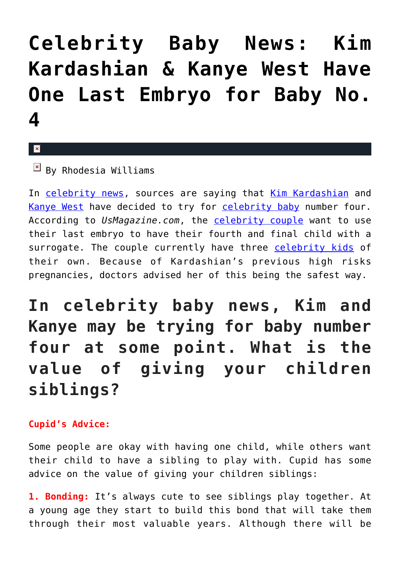## **[Celebrity Baby News: Kim](https://cupidspulse.com/126409/celebrity-baby-news-kim-kardashian-kanye-west-have-one-last-embryo-for-baby-no-4/) [Kardashian & Kanye West Have](https://cupidspulse.com/126409/celebrity-baby-news-kim-kardashian-kanye-west-have-one-last-embryo-for-baby-no-4/) [One Last Embryo for Baby No.](https://cupidspulse.com/126409/celebrity-baby-news-kim-kardashian-kanye-west-have-one-last-embryo-for-baby-no-4/) [4](https://cupidspulse.com/126409/celebrity-baby-news-kim-kardashian-kanye-west-have-one-last-embryo-for-baby-no-4/)**

## $\mathbf x$

 $\boxed{\times}$  By Rhodesia Williams

In [celebrity news,](http://www.cupidspulse.com) sources are saying that [Kim Kardashian](http://cupidspulse.com/86077/kim-kardashian/) and [Kanye West](http://cupidspulse.com/87031/kanye-west/) have decided to try for [celebrity baby](http://cupidspulse.com/celebrity-relationships/celebrity-babies/) number four. According to *UsMagazine.com*, the [celebrity couple](http://cupidspulse.com/celebrity-news/celebrity-dating/) want to use their last embryo to have their fourth and final child with a surrogate. The couple currently have three [celebrity kids](http://cupidspulse.com/celebrity-relationships/celebrity-babies/) of their own. Because of Kardashian's previous high risks pregnancies, doctors advised her of this being the safest way.

## **In celebrity baby news, Kim and Kanye may be trying for baby number four at some point. What is the value of giving your children siblings?**

## **Cupid's Advice:**

Some people are okay with having one child, while others want their child to have a sibling to play with. Cupid has some advice on the value of giving your children siblings:

**1. Bonding:** It's always cute to see siblings play together. At a young age they start to build this bond that will take them through their most valuable years. Although there will be